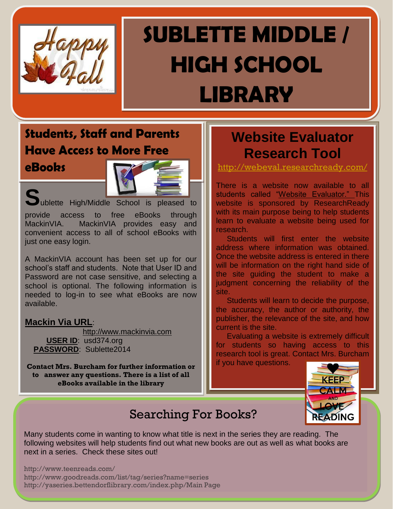

# **SUBLETTE MIDDLE / HIGH SCHOOL**

**LIBRARY**

### **Students, Staff and Parents Have Access to More Free**

**eBooks**



Sublette High/Middle School is pleased to provide access to free eBooks through MackinVIA. MackinVIA provides easy and convenient access to all of school eBooks with just one easy login.

A MackinVIA account has been set up for our school's staff and students. Note that User ID and Password are not case sensitive, and selecting a school is optional. The following information is needed to log-in to see what eBooks are now available.

#### **Mackin Via URL**:

 [http://www.mackinvia.com](http://www.mackinvia.com/) **USER ID**: usd374.org **PASSWORD**: Sublette2014

**Contact Mrs. Burcham for further information or to answer any questions. There is a list of all eBooks available in the library**

### **Website Evaluator Research Tool**

<http://webeval.researchready.com/>

There is a website now available to all students called "Website Evaluator." This website is sponsored by ResearchReady with its main purpose being to help students learn to evaluate a website being used for research.

 Students will first enter the website address where information was obtained. Once the website address is entered in there will be information on the right hand side of the site guiding the student to make a judgment concerning the reliability of the site.

 Students will learn to decide the purpose, the accuracy, the author or authority, the publisher, the relevance of the site, and how current is the site.

 Evaluating a website is extremely difficult for students so having access to this research tool is great. Contact Mrs. Burcham if you have questions.



### Searching For Books?

Many students come in wanting to know what title is next in the series they are reading. The following websites will help students find out what new books are out as well as what books are next in a series. Check these sites out!

http://www.teenreads.com/ http://www.goodreads.com/list/tag/series?name=series http://yaseries.bettendorflibrary.com/index.php/Main Page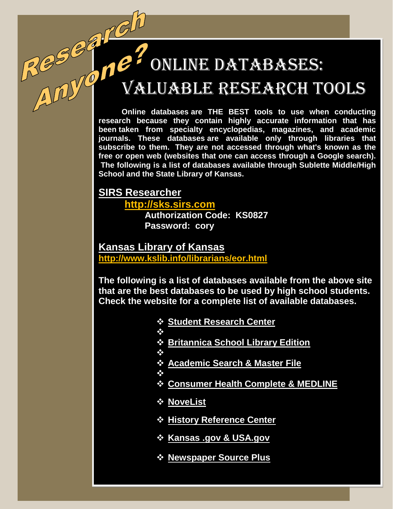# Online Databases:

# Valuable Research Tools

**Online databases are THE BEST tools to use when conducting research because they contain highly accurate information that has been taken from specialty encyclopedias, magazines, and academic journals. These databases are available only through libraries that subscribe to them. They are not accessed through what's known as the free or open web (websites that one can access through a Google search). The following is a list of databases available through Sublette Middle/High School and the State Library of Kansas.**

### **SIRS Researcher**

**[http://sks.sirs.com](http://sks.sirs.com/)**

**Authorization Code: KS0827 Password: cory**

**Kansas Library of Kansas <http://www.kslib.info/librarians/eor.html>**

**The following is a list of databases available from the above site that are the best databases to be used by high school students. Check the website for a complete list of available databases.** 

- **Student Research Center**
- ≪
- **Britannica School Library Edition**
- ≪
- **Academic Search & Master File**
- ❖
- **Consumer Health Complete & MEDLINE**
- **NoveList**
- **History Reference Center**
- **☆ Kansas .gov & USA.gov**
- **Newspaper Source Plus**